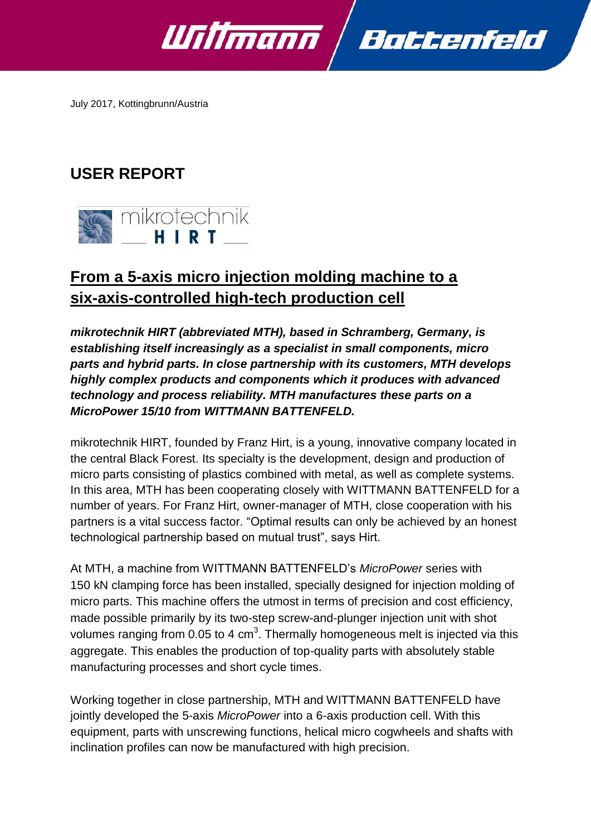

July 2017, Kottingbrunn/Austria

# **USER REPORT**



# **From a 5-axis micro injection molding machine to a six-axis-controlled high-tech production cell**

*mikrotechnik HIRT (abbreviated MTH), based in Schramberg, Germany, is establishing itself increasingly as a specialist in small components, micro parts and hybrid parts. In close partnership with its customers, MTH develops highly complex products and components which it produces with advanced technology and process reliability. MTH manufactures these parts on a MicroPower 15/10 from WITTMANN BATTENFELD.*

mikrotechnik HIRT, founded by Franz Hirt, is a young, innovative company located in the central Black Forest. Its specialty is the development, design and production of micro parts consisting of plastics combined with metal, as well as complete systems. In this area, MTH has been cooperating closely with WITTMANN BATTENFELD for a number of years. For Franz Hirt, owner-manager of MTH, close cooperation with his partners is a vital success factor. "Optimal results can only be achieved by an honest technological partnership based on mutual trust", says Hirt.

At MTH, a machine from WITTMANN BATTENFELD's *MicroPower* series with 150 kN clamping force has been installed, specially designed for injection molding of micro parts. This machine offers the utmost in terms of precision and cost efficiency, made possible primarily by its two-step screw-and-plunger injection unit with shot volumes ranging from 0.05 to 4 cm<sup>3</sup>. Thermally homogeneous melt is injected via this aggregate. This enables the production of top-quality parts with absolutely stable manufacturing processes and short cycle times.

Working together in close partnership, MTH and WITTMANN BATTENFELD have jointly developed the 5-axis *MicroPower* into a 6-axis production cell. With this equipment, parts with unscrewing functions, helical micro cogwheels and shafts with inclination profiles can now be manufactured with high precision.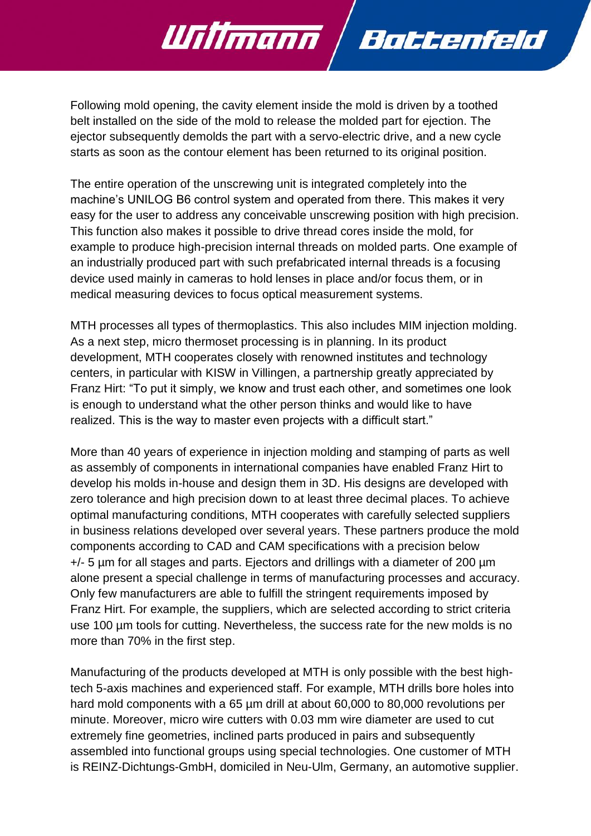Following mold opening, the cavity element inside the mold is driven by a toothed belt installed on the side of the mold to release the molded part for ejection. The ejector subsequently demolds the part with a servo-electric drive, and a new cycle starts as soon as the contour element has been returned to its original position.

Battenfeld

Willmann

The entire operation of the unscrewing unit is integrated completely into the machine's UNILOG B6 control system and operated from there. This makes it very easy for the user to address any conceivable unscrewing position with high precision. This function also makes it possible to drive thread cores inside the mold, for example to produce high-precision internal threads on molded parts. One example of an industrially produced part with such prefabricated internal threads is a focusing device used mainly in cameras to hold lenses in place and/or focus them, or in medical measuring devices to focus optical measurement systems.

MTH processes all types of thermoplastics. This also includes MIM injection molding. As a next step, micro thermoset processing is in planning. In its product development, MTH cooperates closely with renowned institutes and technology centers, in particular with KISW in Villingen, a partnership greatly appreciated by Franz Hirt: "To put it simply, we know and trust each other, and sometimes one look is enough to understand what the other person thinks and would like to have realized. This is the way to master even projects with a difficult start."

More than 40 years of experience in injection molding and stamping of parts as well as assembly of components in international companies have enabled Franz Hirt to develop his molds in-house and design them in 3D. His designs are developed with zero tolerance and high precision down to at least three decimal places. To achieve optimal manufacturing conditions, MTH cooperates with carefully selected suppliers in business relations developed over several years. These partners produce the mold components according to CAD and CAM specifications with a precision below +/- 5 µm for all stages and parts. Ejectors and drillings with a diameter of 200 µm alone present a special challenge in terms of manufacturing processes and accuracy. Only few manufacturers are able to fulfill the stringent requirements imposed by Franz Hirt. For example, the suppliers, which are selected according to strict criteria use 100 µm tools for cutting. Nevertheless, the success rate for the new molds is no more than 70% in the first step.

Manufacturing of the products developed at MTH is only possible with the best hightech 5-axis machines and experienced staff. For example, MTH drills bore holes into hard mold components with a 65 µm drill at about 60,000 to 80,000 revolutions per minute. Moreover, micro wire cutters with 0.03 mm wire diameter are used to cut extremely fine geometries, inclined parts produced in pairs and subsequently assembled into functional groups using special technologies. One customer of MTH is REINZ-Dichtungs-GmbH, domiciled in Neu-Ulm, Germany, an automotive supplier.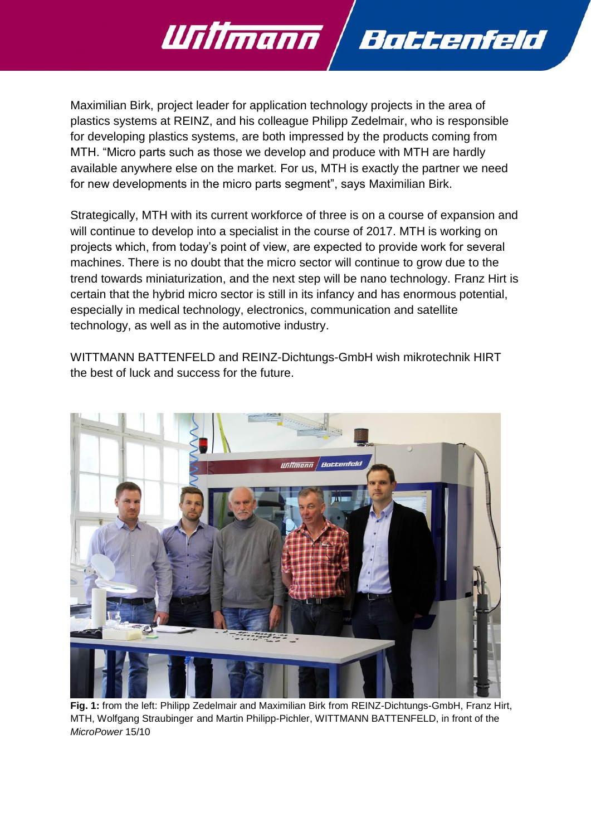Maximilian Birk, project leader for application technology projects in the area of plastics systems at REINZ, and his colleague Philipp Zedelmair, who is responsible for developing plastics systems, are both impressed by the products coming from MTH. "Micro parts such as those we develop and produce with MTH are hardly available anywhere else on the market. For us, MTH is exactly the partner we need for new developments in the micro parts segment", says Maximilian Birk.

Battenfeld

Willmann

Strategically, MTH with its current workforce of three is on a course of expansion and will continue to develop into a specialist in the course of 2017. MTH is working on projects which, from today's point of view, are expected to provide work for several machines. There is no doubt that the micro sector will continue to grow due to the trend towards miniaturization, and the next step will be nano technology. Franz Hirt is certain that the hybrid micro sector is still in its infancy and has enormous potential, especially in medical technology, electronics, communication and satellite technology, as well as in the automotive industry.

WITTMANN BATTENFELD and REINZ-Dichtungs-GmbH wish mikrotechnik HIRT the best of luck and success for the future.



**Fig. 1:** from the left: Philipp Zedelmair and Maximilian Birk from REINZ-Dichtungs-GmbH, Franz Hirt, MTH, Wolfgang Straubinger and Martin Philipp-Pichler, WITTMANN BATTENFELD, in front of the *MicroPower* 15/10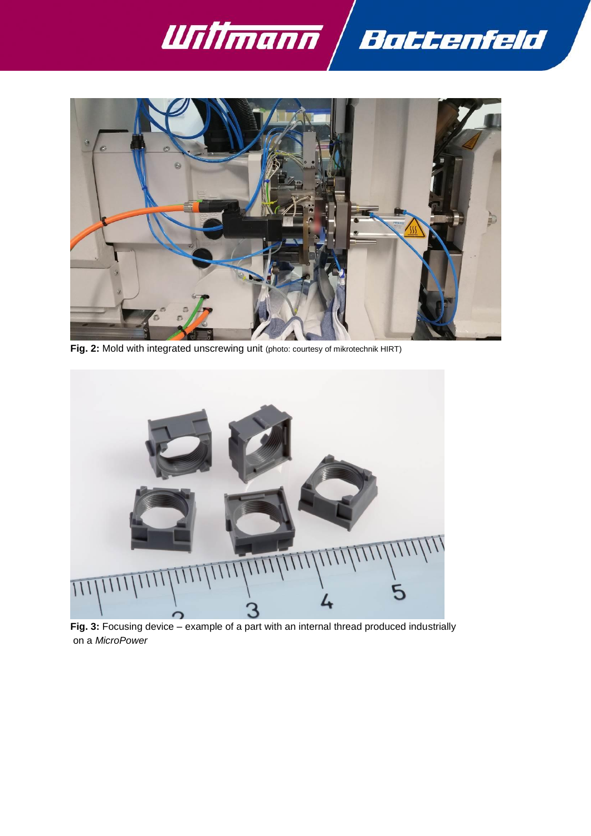



**Fig. 2:** Mold with integrated unscrewing unit (photo: courtesy of mikrotechnik HIRT)



**Fig. 3:** Focusing device – example of a part with an internal thread produced industrially on a *MicroPower*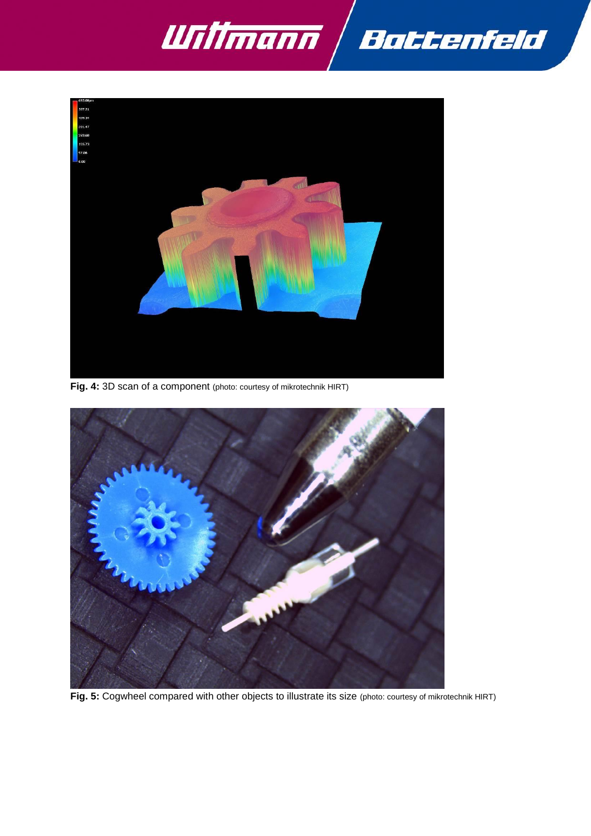



**Fig. 4:** 3D scan of a component (photo: courtesy of mikrotechnik HIRT)



**Fig. 5:** Cogwheel compared with other objects to illustrate its size (photo: courtesy of mikrotechnik HIRT)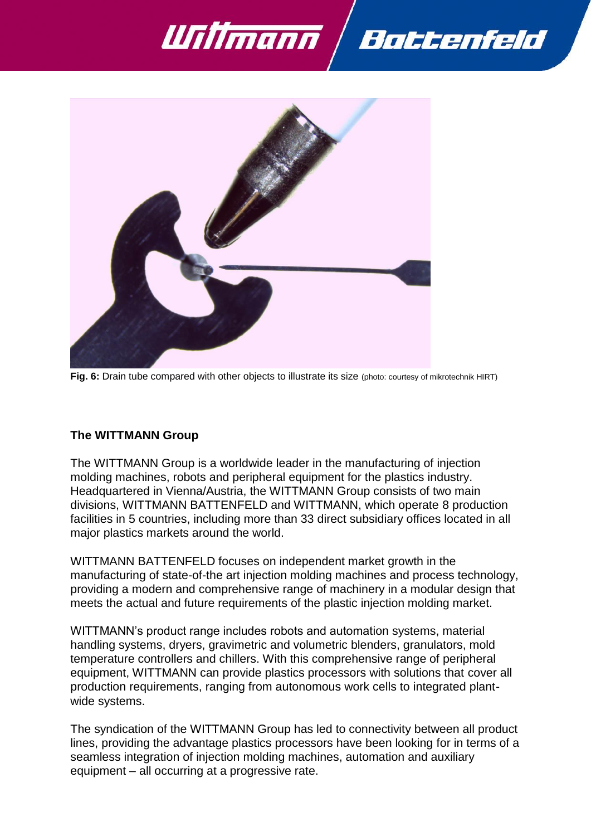





**Fig. 6:** Drain tube compared with other objects to illustrate its size (photo: courtesy of mikrotechnik HIRT)

### **The WITTMANN Group**

The WITTMANN Group is a worldwide leader in the manufacturing of injection molding machines, robots and peripheral equipment for the plastics industry. Headquartered in Vienna/Austria, the WITTMANN Group consists of two main divisions, WITTMANN BATTENFELD and WITTMANN, which operate 8 production facilities in 5 countries, including more than 33 direct subsidiary offices located in all major plastics markets around the world.

WITTMANN BATTENFELD focuses on independent market growth in the manufacturing of state-of-the art injection molding machines and process technology, providing a modern and comprehensive range of machinery in a modular design that meets the actual and future requirements of the plastic injection molding market.

WITTMANN's product range includes robots and automation systems, material handling systems, dryers, gravimetric and volumetric blenders, granulators, mold temperature controllers and chillers. With this comprehensive range of peripheral equipment, WITTMANN can provide plastics processors with solutions that cover all production requirements, ranging from autonomous work cells to integrated plantwide systems.

The syndication of the WITTMANN Group has led to connectivity between all product lines, providing the advantage plastics processors have been looking for in terms of a seamless integration of injection molding machines, automation and auxiliary equipment – all occurring at a progressive rate.